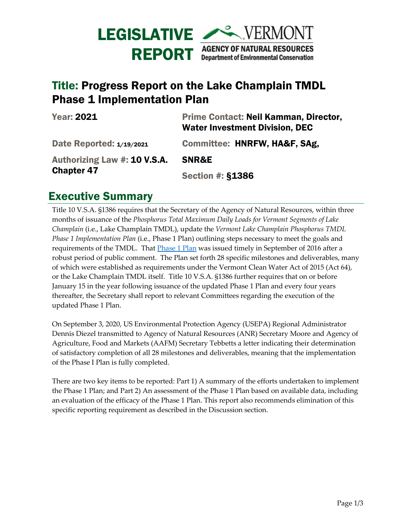

## Title: Progress Report on the Lake Champlain TMDL Phase 1 Implementation Plan

| <b>Year: 2021</b>                                 | Prime Contact: Neil Kamman, Director,<br><b>Water Investment Division, DEC</b> |
|---------------------------------------------------|--------------------------------------------------------------------------------|
| Date Reported: 1/19/2021                          | Committee: HNRFW, HA&F, SAg,                                                   |
| Authorizing Law #: 10 V.S.A.<br><b>Chapter 47</b> | SNR&E                                                                          |
|                                                   | <b>Section #: §1386</b>                                                        |

## Executive Summary

Title 10 V.S.A. §1386 requires that the Secretary of the Agency of Natural Resources, within three months of issuance of the *Phosphorus Total Maximum Daily Loads for Vermont Segments of Lake Champlain* (i.e., Lake Champlain TMDL), update the *Vermont Lake Champlain Phosphorus TMDL Phase 1 Implementation Plan* (i.e., Phase 1 Plan) outlining steps necessary to meet the goals and requirements of the TMDL. That *Phase 1 Plan was issued timely in September of 2016 after a* robust period of public comment. The Plan set forth 28 specific milestones and deliverables, many of which were established as requirements under the Vermont Clean Water Act of 2015 (Act 64), or the Lake Champlain TMDL itself. Title 10 V.S.A. §1386 further requires that on or before January 15 in the year following issuance of the updated Phase 1 Plan and every four years thereafter, the Secretary shall report to relevant Committees regarding the execution of the updated Phase 1 Plan.

On September 3, 2020, US Environmental Protection Agency (USEPA) Regional Administrator Dennis Diezel transmitted to Agency of Natural Resources (ANR) Secretary Moore and Agency of Agriculture, Food and Markets (AAFM) Secretary Tebbetts a letter indicating their determination of satisfactory completion of all 28 milestones and deliverables, meaning that the implementation of the Phase I Plan is fully completed.

There are two key items to be reported: Part 1) A summary of the efforts undertaken to implement the Phase 1 Plan; and Part 2) An assessment of the Phase 1 Plan based on available data, including an evaluation of the efficacy of the Phase 1 Plan. This report also recommends elimination of this specific reporting requirement as described in the Discussion section.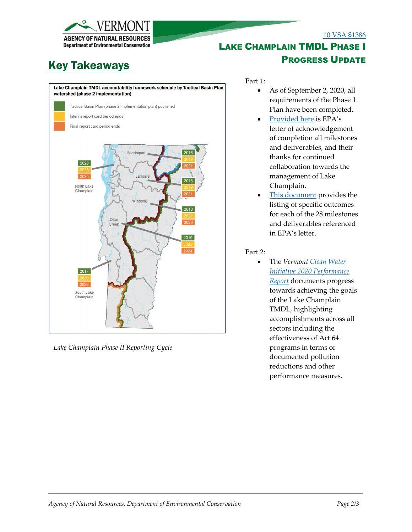

# Key Takeaways



*Lake Champlain Phase II Reporting Cycle*

### [10 VSA §1386](https://legislature.vermont.gov/statutes/section/10/047/01386)

### [LAKE](https://dec.vermont.gov/laws/leg-reports) CHAMPLAIN TMDL PHASE I PROGRESS UPDATE

Part 1:

- As of September 2, 2020, all requirements of the Phase 1 Plan have been completed.
- [Provided here](https://dec.vermont.gov/sites/dec/files/wsm/erp/docs/Lake%20Champlain%20Final%20Phase%20I%20Report%20Card_Final%20Letter%209.3.20.pdf) is EPA's letter of acknowledgement of completion all milestones and deliverables, and their thanks for continued collaboration towards the management of Lake Champlain.
- [This document](https://dec.vermont.gov/sites/dec/files/wsm/erp/docs/Lake%20Champlain%20Final%20Phase%20I%20Report%20Card%20Attachment_9.1.20.pdf) provides the listing of specific outcomes for each of the 28 milestones and deliverables referenced in EPA's letter.

#### Part 2:

• The *Vermon[t Clean Water](https://dec.vermont.gov/sites/dec/files/wsm/erp/docs/2021-01-15_CleanWaterPerformanceReport_SFY2020-FINA-PDF-A.pdf)  [Initiative 2020 Performance](https://dec.vermont.gov/sites/dec/files/wsm/erp/docs/2021-01-15_CleanWaterPerformanceReport_SFY2020-FINA-PDF-A.pdf)  [Report](https://dec.vermont.gov/sites/dec/files/wsm/erp/docs/2021-01-15_CleanWaterPerformanceReport_SFY2020-FINA-PDF-A.pdf)* documents progress towards achieving the goals of the Lake Champlain TMDL, highlighting accomplishments across all sectors including the effectiveness of Act 64 programs in terms of documented pollution reductions and other performance measures.